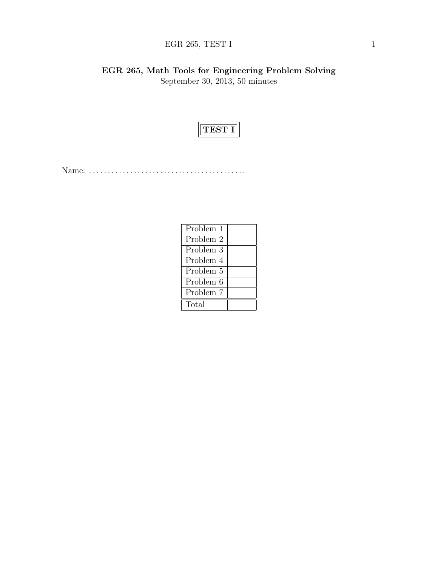# EGR 265, TEST I  $1$

EGR 265, Math Tools for Engineering Problem Solving September 30, 2013, 50 minutes



Name: . . . . . . . . . . . . . . . . . . . . . . . . . . . . . . . . . . . . . . . . . .

| Problem 1 |  |
|-----------|--|
| Problem 2 |  |
| Problem 3 |  |
| Problem 4 |  |
| Problem 5 |  |
| Problem 6 |  |
| Problem 7 |  |
| Total     |  |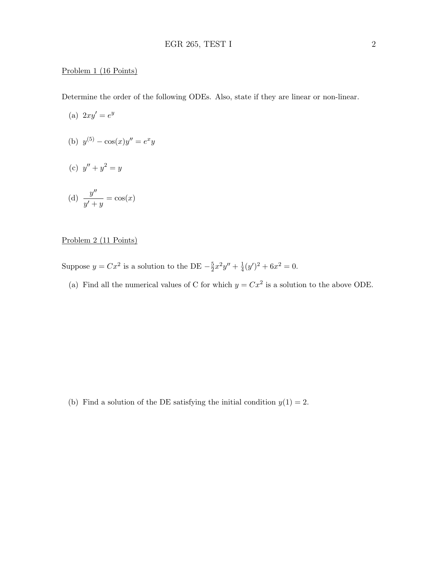#### Problem 1 (16 Points)

Determine the order of the following ODEs. Also, state if they are linear or non-linear.

- (a)  $2xy' = e^y$
- (b)  $y^{(5)} \cos(x)y'' = e^x y$
- (c)  $y'' + y^2 = y$

(d) 
$$
\frac{y''}{y' + y} = \cos(x)
$$

## Problem 2 (11 Points)

- Suppose  $y = Cx^2$  is a solution to the DE  $-\frac{5}{2}$  $\frac{5}{2}x^2y'' + \frac{1}{4}$  $\frac{1}{4}(y')^2 + 6x^2 = 0.$ 
	- (a) Find all the numerical values of C for which  $y = Cx^2$  is a solution to the above ODE.

(b) Find a solution of the DE satisfying the initial condition  $y(1) = 2$ .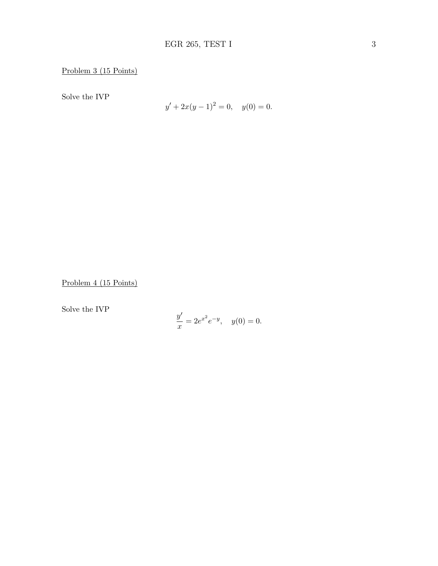Problem 3 (15 Points)

Solve the IVP

$$
y' + 2x(y - 1)^2 = 0, \quad y(0) = 0.
$$

Problem 4 (15 Points)

Solve the IVP

$$
\frac{y'}{x} = 2e^{x^2}e^{-y}, \quad y(0) = 0.
$$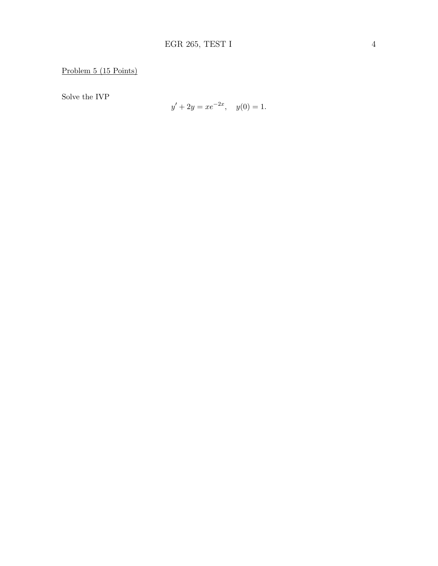Solve the IVP

$$
y' + 2y = xe^{-2x}, \quad y(0) = 1.
$$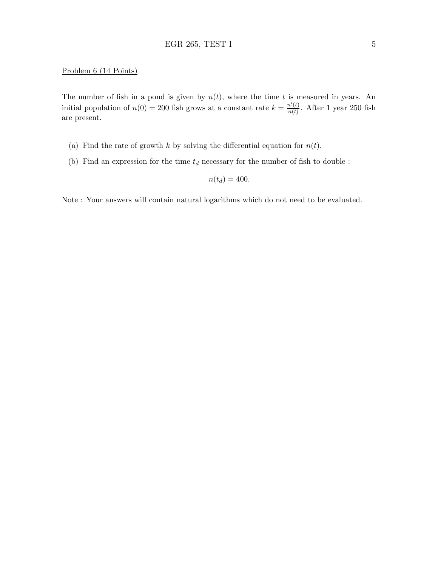#### Problem 6 (14 Points)

The number of fish in a pond is given by  $n(t)$ , where the time t is measured in years. An initial population of  $n(0) = 200$  fish grows at a constant rate  $k = \frac{n'(t)}{n(t)}$  $\frac{n(t)}{n(t)}$ . After 1 year 250 fish are present.

- (a) Find the rate of growth k by solving the differential equation for  $n(t)$ .
- (b) Find an expression for the time  $t_d$  necessary for the number of fish to double :

$$
n(t_d) = 400.
$$

Note : Your answers will contain natural logarithms which do not need to be evaluated.